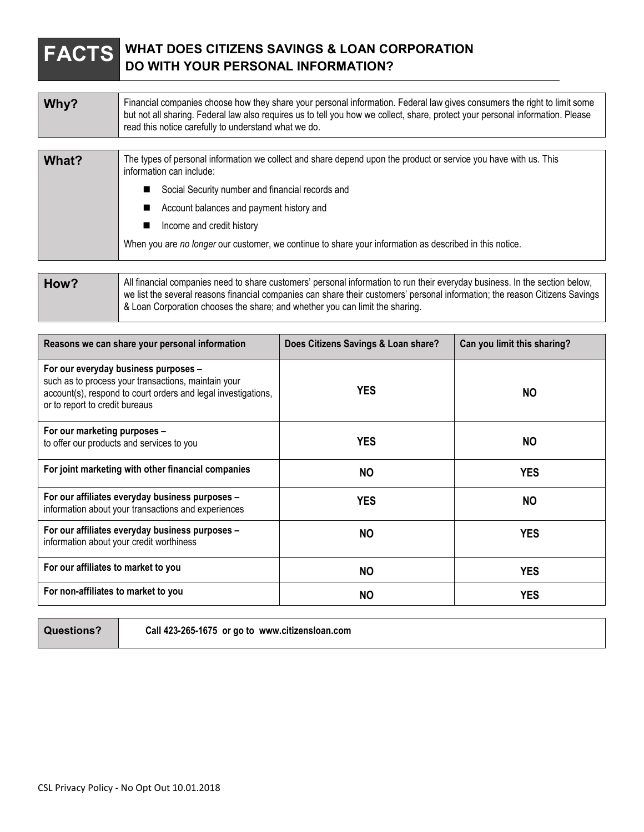## **FACTS WHAT DOES CITIZENS SAVINGS & LOAN CORPORATION DO WITH YOUR PERSONAL INFORMATION?**

| Why?                | Financial companies choose how they share your personal information. Federal law gives consumers the right to limit some<br>but not all sharing. Federal law also requires us to tell you how we collect, share, protect your personal information. Please<br>read this notice carefully to understand what we do. |
|---------------------|--------------------------------------------------------------------------------------------------------------------------------------------------------------------------------------------------------------------------------------------------------------------------------------------------------------------|
|                     |                                                                                                                                                                                                                                                                                                                    |
| $Mh2$ <sup>+2</sup> | The types of personal information we collect and share depend upon the product or service you have with us. This                                                                                                                                                                                                   |

| <b>v</b> rial? | The types of personal implificion we collect and share depend upon the product or service you have with us. This<br>information can include: |
|----------------|----------------------------------------------------------------------------------------------------------------------------------------------|
|                | Social Security number and financial records and                                                                                             |
|                | Account balances and payment history and                                                                                                     |
|                | Income and credit history                                                                                                                    |
|                | When you are no longer our customer, we continue to share your information as described in this notice.                                      |
|                |                                                                                                                                              |

| How? | All financial companies need to share customers' personal information to run their everyday business. In the section below,<br>we list the several reasons financial companies can share their customers' personal information; the reason Citizens Savings |
|------|-------------------------------------------------------------------------------------------------------------------------------------------------------------------------------------------------------------------------------------------------------------|
|      | & Loan Corporation chooses the share; and whether you can limit the sharing.                                                                                                                                                                                |

| Reasons we can share your personal information                                                                                                                                                 | Does Citizens Savings & Loan share? | Can you limit this sharing? |
|------------------------------------------------------------------------------------------------------------------------------------------------------------------------------------------------|-------------------------------------|-----------------------------|
| For our everyday business purposes -<br>such as to process your transactions, maintain your<br>account(s), respond to court orders and legal investigations,<br>or to report to credit bureaus | <b>YES</b>                          | NO.                         |
| For our marketing purposes -<br>to offer our products and services to you                                                                                                                      | <b>YES</b>                          | NO.                         |
| For joint marketing with other financial companies                                                                                                                                             | <b>NO</b>                           | <b>YES</b>                  |
| For our affiliates everyday business purposes -<br>information about your transactions and experiences                                                                                         | <b>YES</b>                          | <b>NO</b>                   |
| For our affiliates everyday business purposes -<br>information about your credit worthiness                                                                                                    | NO.                                 | <b>YES</b>                  |
| For our affiliates to market to you                                                                                                                                                            | <b>NO</b>                           | <b>YES</b>                  |
| For non-affiliates to market to you                                                                                                                                                            | <b>NO</b>                           | <b>YES</b>                  |

**Questions? Call 423-265-1675 or go to www.citizensloan.com**